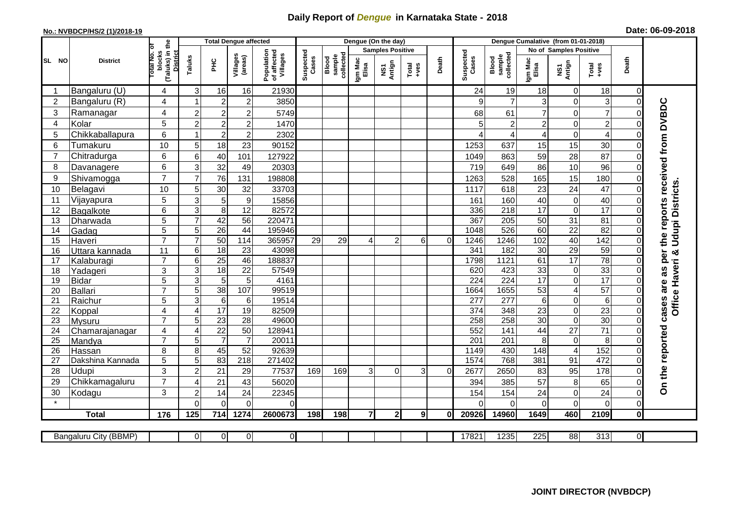## **Daily Report of** *Dengue* **in Karnataka State - 2018**

## **No.: NVBDCP/HS/2 (1)/2018-19 Date: 06-09-2018**

|                                                                                                                                                             | <b>District</b>   |                                                      | <b>Total Dengue affected</b> |                 |                     |                                       |                    |                              |                         | Dengue (On the day) |          |          |                          |                              |                        |                                            |                      |                      |                                 |
|-------------------------------------------------------------------------------------------------------------------------------------------------------------|-------------------|------------------------------------------------------|------------------------------|-----------------|---------------------|---------------------------------------|--------------------|------------------------------|-------------------------|---------------------|----------|----------|--------------------------|------------------------------|------------------------|--------------------------------------------|----------------------|----------------------|---------------------------------|
|                                                                                                                                                             |                   |                                                      |                              |                 |                     | Population<br>of affected<br>Villages |                    |                              | <b>Samples Positive</b> |                     |          |          |                          |                              | No of Samples Positive |                                            |                      |                      |                                 |
| SL NO                                                                                                                                                       |                   | (Taluks) in the<br>District<br>otal No. of<br>blocks | Taluks                       | Ξ               | Villages<br>(areas) |                                       | Suspected<br>Cases | Blood<br>sample<br>collected | Igm Mac<br>Elisa        | NS1<br>Antign       | $Totael$ | Death    | Suspected<br>Cases       | Blood<br>sample<br>collected | Igm Mac<br>Elisa       | NS1<br>Antign                              | Total<br>+ves        | Death                |                                 |
|                                                                                                                                                             | Bangaluru (U)     | 4                                                    | 3                            | 16              | 16                  | 21930                                 |                    |                              |                         |                     |          |          | 24                       | 19                           | 18                     | $\mathbf 0$                                | 18                   | $\Omega$             |                                 |
| $\overline{2}$                                                                                                                                              | Bangaluru (R)     | $\overline{4}$                                       |                              | $\overline{2}$  | $\overline{c}$      | 3850                                  |                    |                              |                         |                     |          |          | 9                        | $\overline{7}$               | 3                      | $\mathbf 0$                                | 3                    | $\Omega$             |                                 |
| 3                                                                                                                                                           | Ramanagar         | 4                                                    | $\overline{2}$               | $\overline{c}$  | $\overline{c}$      | 5749                                  |                    |                              |                         |                     |          |          | 68                       | 61                           | $\overline{7}$         | $\overline{0}$                             | $\overline{7}$       | $\Omega$             | the reports received from DVBDC |
| 4                                                                                                                                                           | Kolar             | 5                                                    | $\overline{c}$               | $\overline{c}$  | $\boldsymbol{2}$    | 1470                                  |                    |                              |                         |                     |          |          | 5                        | 2                            | $\overline{c}$         | $\mathbf 0$                                | $\overline{c}$       | $\Omega$             |                                 |
| 5                                                                                                                                                           | Chikkaballapura   | 6                                                    |                              | $\overline{c}$  | $\mathbf 2$         | 2302                                  |                    |                              |                         |                     |          |          |                          | 4                            | 4                      | $\mathbf 0$                                | 4                    | $\Omega$             |                                 |
| 6                                                                                                                                                           | Tumakuru          | 10                                                   | 5                            | 18              | 23                  | 90152                                 |                    |                              |                         |                     |          |          | 1253                     | 637                          | 15                     | 15                                         | 30                   | $\Omega$             |                                 |
| $\overline{7}$                                                                                                                                              | Chitradurga       | 6                                                    | 6                            | 40              | 101                 | 127922                                |                    |                              |                         |                     |          |          | 1049                     | 863                          | 59                     | 28                                         | 87                   | $\Omega$             |                                 |
| 8                                                                                                                                                           | Davanagere        | 6                                                    | 3                            | 32              | 49                  | 20303                                 |                    |                              |                         |                     |          |          | 719                      | 649                          | 86                     | 10                                         | 96                   | 0                    |                                 |
| 9                                                                                                                                                           | Shivamogga        | $\overline{7}$                                       | $\overline{7}$               | 76              | 131                 | 198808                                |                    |                              |                         |                     |          |          | 1263                     | 528                          | 165                    | 15                                         | 180                  | $\Omega$             |                                 |
| 10                                                                                                                                                          | Belagavi          | 10                                                   | 5                            | 30              | 32                  | 33703                                 |                    |                              |                         |                     |          |          | 1117                     | 618                          | 23                     | 24                                         | 47                   | $\Omega$             | <b>Udupi Districts</b>          |
| 11                                                                                                                                                          | Vijayapura        | 5                                                    | 3                            | 5               | $\boldsymbol{9}$    | 15856                                 |                    |                              |                         |                     |          |          | 161                      | 160                          | 40                     | $\mathbf 0$                                | 40                   | $\Omega$             |                                 |
| 12                                                                                                                                                          | Bagalkote         | 6                                                    | $\mathbf{3}$                 | 8               | 12                  | 82572                                 |                    |                              |                         |                     |          |          | 336                      | 218                          | 17                     | $\mathbf 0$                                | 17                   | $\Omega$             |                                 |
| 13                                                                                                                                                          | Dharwada          | 5                                                    | $\overline{7}$               | 42              | $\overline{56}$     | 220471                                |                    |                              |                         |                     |          |          | 367                      | $\overline{205}$             | 50                     | $\overline{31}$                            | 81                   | $\Omega$             |                                 |
| 14                                                                                                                                                          | Gadag             | $\overline{5}$                                       | 5                            | 26              | 44                  | 195946                                |                    |                              |                         |                     |          |          | 1048                     | 526                          | 60                     | $\overline{22}$                            | 82                   | $\Omega$             |                                 |
| 15                                                                                                                                                          | Haveri            | $\overline{7}$                                       | $\overline{7}$               | 50              | 114                 | 365957                                | 29                 | 29                           |                         | $\overline{2}$      | 6        | $\Omega$ | 1246                     | 1246                         | 102                    | 40                                         | 142                  | $\Omega$             |                                 |
| 16                                                                                                                                                          | Uttara kannada    | 11                                                   | 6                            | $\overline{18}$ | 23                  | 43098                                 |                    |                              |                         |                     |          |          | 341                      | 182                          | 30                     | 29                                         | 59                   | $\Omega$             | ×                               |
| 17                                                                                                                                                          | Kalaburagi        | $\overline{7}$                                       | 6                            | 25              | 46                  | 188837                                |                    |                              |                         |                     |          |          | 1798                     | 1121                         | 61                     | $\overline{17}$                            | $\overline{78}$      | 0                    | as per                          |
| 18                                                                                                                                                          | Yadageri          | 3                                                    | 3                            | 18              | 22                  | 57549                                 |                    |                              |                         |                     |          |          | 620                      | 423                          | 33                     | $\boldsymbol{0}$                           | 33                   |                      |                                 |
| 19                                                                                                                                                          | Bidar             | $\overline{5}$                                       | 3                            | 5               | 5                   | 4161                                  |                    |                              |                         |                     |          |          | $\overline{224}$         | $\overline{224}$             | $\overline{17}$        | $\overline{0}$                             | $\overline{17}$      | $\Omega$             | are                             |
| 20<br>21                                                                                                                                                    | Ballari           | $\overline{7}$<br>$\overline{5}$                     | 5<br>3                       | 38<br>6         | 107<br>$\,6$        | 99519<br>19514                        |                    |                              |                         |                     |          |          | 1664<br>$\overline{277}$ | 1655<br>$\overline{277}$     | 53<br>6                | $\overline{\mathcal{A}}$<br>$\overline{0}$ | 57<br>$\overline{6}$ | $\Omega$<br>$\Omega$ | Office Haveri                   |
| 22                                                                                                                                                          | Raichur<br>Koppal | 4                                                    | $\overline{4}$               | 17              | 19                  | 82509                                 |                    |                              |                         |                     |          |          | 374                      | 348                          | 23                     | $\mathbf 0$                                | $\overline{23}$      | $\Omega$             | cases                           |
| 23                                                                                                                                                          | Mysuru            | $\overline{7}$                                       | 5                            | 23              | $\overline{28}$     | 49600                                 |                    |                              |                         |                     |          |          | $\overline{258}$         | 258                          | $\overline{30}$        | $\overline{0}$                             | 30                   | $\Omega$             |                                 |
| 24                                                                                                                                                          | Chamarajanagar    | $\overline{4}$                                       | $\overline{4}$               | $\overline{22}$ | 50                  | 12894 <sup>-</sup>                    |                    |                              |                         |                     |          |          | 552                      | 141                          | 44                     | $\overline{27}$                            | $\overline{71}$      | $\Omega$             |                                 |
| 25                                                                                                                                                          | Mandya            | $\overline{7}$                                       | 5                            | $\overline{7}$  | $\overline{7}$      | 20011                                 |                    |                              |                         |                     |          |          | $\overline{201}$         | $\overline{201}$             | 8                      | $\boldsymbol{0}$                           | 8                    | $\Omega$             |                                 |
| 26                                                                                                                                                          | Hassan            | 8                                                    | 8                            | 45              | 52                  | 92639                                 |                    |                              |                         |                     |          |          | 1149                     | 430                          | 148                    | $\overline{4}$                             | 152                  | $\Omega$             |                                 |
| 27                                                                                                                                                          | Dakshina Kannada  | 5                                                    | 5                            | $\overline{83}$ | 218                 | 271402                                |                    |                              |                         |                     |          |          | 1574                     | 768                          | 381                    | 91                                         | 472                  | $\Omega$             |                                 |
| 28                                                                                                                                                          | Udupi             | 3                                                    | $\overline{2}$               | 21              | 29                  | 77537                                 | 169                | 169                          | 3                       | $\Omega$            | 3        | $\Omega$ | 2677                     | 2650                         | 83                     | 95                                         | 178                  | $\Omega$             |                                 |
| 29                                                                                                                                                          | Chikkamagaluru    | $\overline{7}$                                       | 4                            | 21              | 43                  | 56020                                 |                    |                              |                         |                     |          |          | 394                      | 385                          | 57                     | 8                                          | 65                   | 0                    | On the reported                 |
| 30                                                                                                                                                          | Kodagu            | 3                                                    | $\overline{2}$               | 14              | 24                  | 22345                                 |                    |                              |                         |                     |          |          | 154                      | 154                          | 24                     | $\mathbf 0$                                | 24                   | $\mathbf 0$          |                                 |
| $\star$                                                                                                                                                     |                   |                                                      | $\Omega$                     | $\Omega$        | $\Omega$            | 0                                     |                    |                              |                         |                     |          |          |                          | $\Omega$                     | $\Omega$               | $\mathbf 0$                                | $\mathbf 0$          | $\Omega$             |                                 |
|                                                                                                                                                             | <b>Total</b>      | 176                                                  | 125                          | 714             | 1274                | 2600673                               | 198                | 198                          | $\overline{7}$          | $\overline{2}$      | 91       | 0I       | 20926                    | 14960                        | 1649                   | 460                                        | 2109                 | 0                    |                                 |
|                                                                                                                                                             |                   |                                                      |                              |                 |                     |                                       |                    |                              |                         |                     |          |          |                          |                              |                        |                                            |                      |                      |                                 |
| $\overline{0}$<br>17821<br>1235<br>225<br>88<br>313<br><b>Bangaluru City (BBMP)</b><br>$\overline{0}$<br>$\overline{0}$<br>$\overline{0}$<br>$\overline{0}$ |                   |                                                      |                              |                 |                     |                                       |                    |                              |                         |                     |          |          |                          |                              |                        |                                            |                      |                      |                                 |